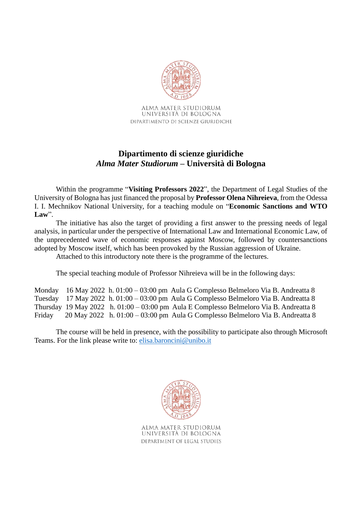

ALMA MATER STUDIORUM UNIVERSITÀ DI BOLOGNA DIPARTIMENTO DI SCIENZE GIURIDICHE

# **Dipartimento di scienze giuridiche** *Alma Mater Studiorum* **– Università di Bologna**

Within the programme "**Visiting Professors 2022**", the Department of Legal Studies of the University of Bologna has just financed the proposal by **Professor Olena Nihreieva**, from the Odessa I. I. Mechnikov National University, for a teaching module on "**Economic Sanctions and WTO Law**".

The initiative has also the target of providing a first answer to the pressing needs of legal analysis, in particular under the perspective of International Law and International Economic Law, of the unprecedented wave of economic responses against Moscow, followed by countersanctions adopted by Moscow itself, which has been provoked by the Russian aggression of Ukraine.

Attached to this introductory note there is the programme of the lectures.

The special teaching module of Professor Nihreieva will be in the following days:

Monday 16 May 2022 h. 01:00 – 03:00 pm Aula G Complesso Belmeloro Via B. Andreatta 8 Tuesday 17 May 2022 h. 01:00 – 03:00 pm Aula G Complesso Belmeloro Via B. Andreatta 8 Thursday 19 May 2022 h. 01:00 – 03:00 pm Aula E Complesso Belmeloro Via B. Andreatta 8 Friday 20 May 2022 h. 01:00 – 03:00 pm Aula G Complesso Belmeloro Via B. Andreatta 8

The course will be held in presence, with the possibility to participate also through Microsoft Teams. For the link please write to: [elisa.baroncini@unibo.it](mailto:elisa.baroncini@unibo.it)



ALMA MATER STUDIORUM UNIVERSITÀ DI BOLOGNA DEPARTMENT OF LEGAL STUDIES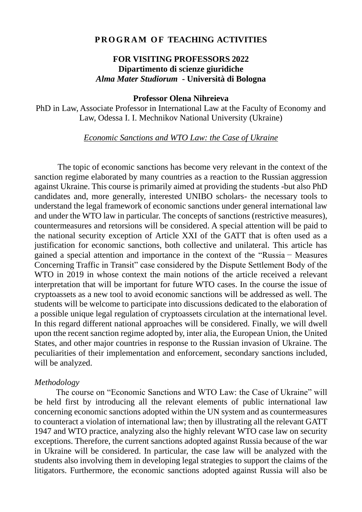## **P R O G R A M O F TEACHING ACTIVITIES**

# **FOR VISITING PROFESSORS 2022 Dipartimento di scienze giuridiche** *Alma Mater Studiorum* **- Università di Bologna**

## **Professor Olena Nihreieva**

PhD in Law, Associate Professor in International Law at the Faculty of Economy and Law, Odessa I. I. Mechnikov National University (Ukraine)

#### *Economic Sanctions and WTO Law: the Case of Ukraine*

 The topic of economic sanctions has become very relevant in the context of the sanction regime elaborated by many countries as a reaction to the Russian aggression against Ukraine. This course is primarily aimed at providing the students -but also PhD candidates and, more generally, interested UNIBO scholars- the necessary tools to understand the legal framework of economic sanctions under general international law and under the WTO law in particular. The concepts of sanctions (restrictive measures), countermeasures and retorsions will be considered. A special attention will be paid to the national security exception of Article XXI of the GATT that is often used as a justification for economic sanctions, both collective and unilateral. This article has gained a special attention and importance in the context of the "Russia − Measures Concerning Traffic in Transit" case considered by the Dispute Settlement Body of the WTO in 2019 in whose context the main notions of the article received a relevant interpretation that will be important for future WTO cases. In the course the issue of cryptoassets as a new tool to avoid economic sanctions will be addressed as well. The students will be welcome to participate into discussions dedicated to the elaboration of a possible unique legal regulation of cryptoassets circulation at the international level. In this regard different national approaches will be considered. Finally, we will dwell upon tthe recent sanction regime adopted by, inter alia, the European Union, the United States, and other major countries in response to the Russian invasion of Ukraine. The peculiarities of their implementation and enforcement, secondary sanctions included, will be analyzed.

#### *Methodology*

The course on "Economic Sanctions and WTO Law: the Case of Ukraine" will be held first by introducing all the relevant elements of public international law concerning economic sanctions adopted within the UN system and as countermeasures to counteract a violation of international law; then by illustrating all the relevant GATT 1947 and WTO practice, analyzing also the highly relevant WTO case law on security exceptions. Therefore, the current sanctions adopted against Russia because of the war in Ukraine will be considered. In particular, the case law will be analyzed with the students also involving them in developing legal strategies to support the claims of the litigators. Furthermore, the economic sanctions adopted against Russia will also be